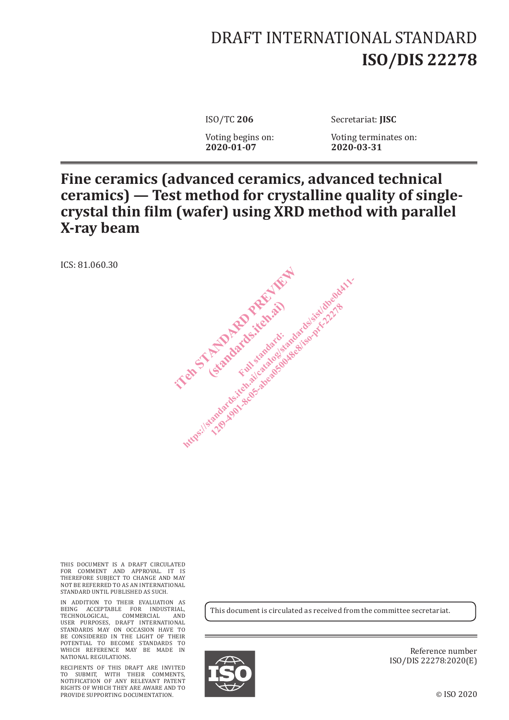# DRAFT INTERNATIONAL STANDARD **ISO/DIS 22278**

ISO/TC **206** Secretariat: **JISC**

Voting begins on: Voting terminates on:<br>2020-01-07 2020-03-31 **2020-01-07 2020-03-31**

# **Fine ceramics (advanced ceramics, advanced technical ceramics) — Test method for crystalline quality of singlecrystal thin film (wafer) using XRD method with parallel X-ray beam**

ICS: 81.060.30



THIS DOCUMENT IS A DRAFT CIRCULATED FOR COMMENT AND APPROVAL. IT IS THEREFORE SUBJECT TO CHANGE AND MAY NOT BE REFERRED TO AS AN INTERNATIONAL STANDARD UNTIL PUBLISHED AS SUCH.

IN ADDITION TO THEIR EVALUATION AS BEING ACCEPTABLE FOR INDUSTRIAL, TECHNOLOGICAL, COMMERCIAL AND USER PURPOSES, DRAFT INTERNATIONAL STANDARDS MAY ON OCCASION HAVE TO BE CONSIDERED IN THE LIGHT OF THEIR POTENTIAL TO BECOME STANDARDS TO WHICH REFERENCE MAY BE MADE IN NATIONAL REGULATIONS.

RECIPIENTS OF THIS DRAFT ARE INVITED TO SUBMIT, WITH THEIR COMMENTS, NOTIFICATION OF ANY RELEVANT PATENT RIGHTS OF WHICH THEY ARE AWARE AND TO PROVIDE SUPPORTING DOCUMENTATION.

This document is circulated as received from the committee secretariat.



Reference number ISO/DIS 22278:2020(E)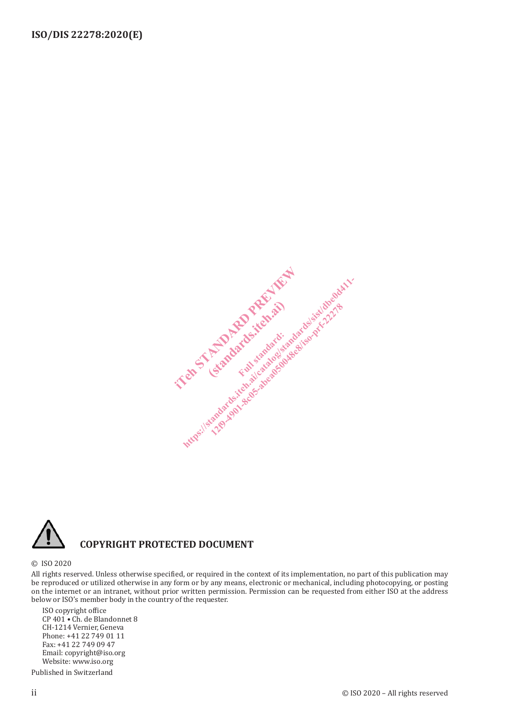



### **COPYRIGHT PROTECTED DOCUMENT**

#### © ISO 2020

All rights reserved. Unless otherwise specified, or required in the context of its implementation, no part of this publication may be reproduced or utilized otherwise in any form or by any means, electronic or mechanical, including photocopying, or posting on the internet or an intranet, without prior written permission. Permission can be requested from either ISO at the address below or ISO's member body in the country of the requester.

ISO copyright office CP 401 • Ch. de Blandonnet 8 CH-1214 Vernier, Geneva Phone: +41 22 749 01 11 Fax: +41 22 749 09 47 Email: copyright@iso.org Website: www.iso.org

Published in Switzerland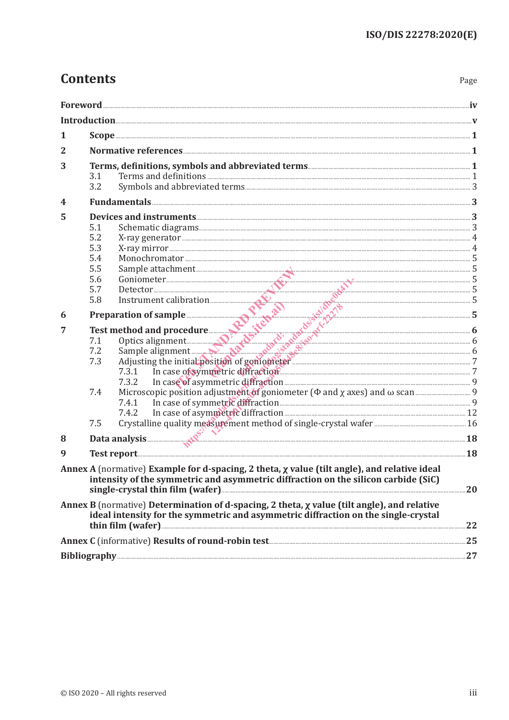Page

# **Contents**

| 1                                                                                                |                                                                                                                                                                                                                                            |     |
|--------------------------------------------------------------------------------------------------|--------------------------------------------------------------------------------------------------------------------------------------------------------------------------------------------------------------------------------------------|-----|
| 2                                                                                                |                                                                                                                                                                                                                                            |     |
|                                                                                                  |                                                                                                                                                                                                                                            |     |
| 3                                                                                                | 3.1                                                                                                                                                                                                                                        |     |
|                                                                                                  | 3.2                                                                                                                                                                                                                                        |     |
| 4                                                                                                | Fundamentals 2008 and 2008 and 2008 and 2008 and 2008 and 2008 and 2008 and 2008 and 2008 and 2008 and 2008 and 2008 and 2008 and 2008 and 2008 and 2008 and 2008 and 2008 and 2008 and 2008 and 2008 and 2008 and 2008 and 20             |     |
| 5                                                                                                |                                                                                                                                                                                                                                            |     |
|                                                                                                  | 5.1                                                                                                                                                                                                                                        |     |
|                                                                                                  | 5.2                                                                                                                                                                                                                                        |     |
|                                                                                                  | 5.3                                                                                                                                                                                                                                        |     |
|                                                                                                  | 5.4                                                                                                                                                                                                                                        |     |
|                                                                                                  | Sample attachment 5<br>5.5<br>Goniometer 5                                                                                                                                                                                                 |     |
|                                                                                                  | 5.6                                                                                                                                                                                                                                        |     |
|                                                                                                  |                                                                                                                                                                                                                                            |     |
|                                                                                                  |                                                                                                                                                                                                                                            |     |
| 6                                                                                                | 5.5.7 Detector<br>Instrument calibration<br>Preparation of sample<br>Test method and procedure<br>7.1 Optics alignment<br>7.2 Sample alignment<br>7.3 Adjusting the initial position of gomeonic and account of the contract of the contra |     |
| 7                                                                                                |                                                                                                                                                                                                                                            |     |
|                                                                                                  |                                                                                                                                                                                                                                            |     |
|                                                                                                  |                                                                                                                                                                                                                                            |     |
|                                                                                                  |                                                                                                                                                                                                                                            |     |
|                                                                                                  | 7.3.1 In case of symmetric diffraction <b>Election</b> 2014 12:3.1 and 27                                                                                                                                                                  |     |
|                                                                                                  | 7.3.2<br>7.4                                                                                                                                                                                                                               |     |
|                                                                                                  | 7.4.1                                                                                                                                                                                                                                      |     |
|                                                                                                  | 7.4.2                                                                                                                                                                                                                                      |     |
|                                                                                                  | 7.5                                                                                                                                                                                                                                        |     |
| 8                                                                                                | Data analysis and state of $\mathcal{S}^{\mathcal{S}^{\mathcal{S}}}\mathcal{N}$                                                                                                                                                            |     |
|                                                                                                  |                                                                                                                                                                                                                                            |     |
| 9                                                                                                |                                                                                                                                                                                                                                            |     |
|                                                                                                  | Annex A (normative) Example for d-spacing, 2 theta, $\chi$ value (tilt angle), and relative ideal<br>intensity of the symmetric and asymmetric diffraction on the silicon carbide (SiC)                                                    |     |
|                                                                                                  |                                                                                                                                                                                                                                            | .20 |
| Annex B (normative) Determination of d-spacing, 2 theta, $\chi$ value (tilt angle), and relative |                                                                                                                                                                                                                                            |     |
|                                                                                                  | ideal intensity for the symmetric and asymmetric diffraction on the single-crystal                                                                                                                                                         |     |
|                                                                                                  |                                                                                                                                                                                                                                            |     |
|                                                                                                  |                                                                                                                                                                                                                                            |     |
|                                                                                                  |                                                                                                                                                                                                                                            |     |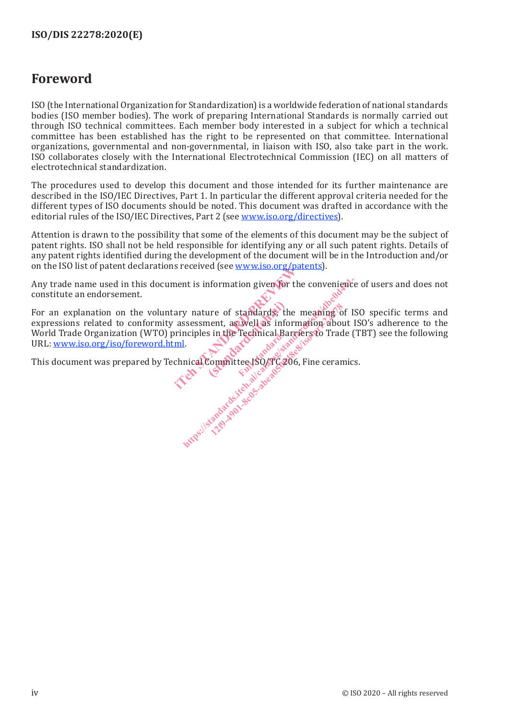# **Foreword**

ISO (the International Organization for Standardization) is a worldwide federation of national standards bodies (ISO member bodies). The work of preparing International Standards is normally carried out through ISO technical committees. Each member body interested in a subject for which a technical committee has been established has the right to be represented on that committee. International organizations, governmental and non-governmental, in liaison with ISO, also take part in the work. ISO collaborates closely with the International Electrotechnical Commission (IEC) on all matters of electrotechnical standardization.

The procedures used to develop this document and those intended for its further maintenance are described in the ISO/IEC Directives, Part 1. In particular the different approval criteria needed for the different types of ISO documents should be noted. This document was drafted in accordance with the editorial rules of the ISO/IEC Directives, Part 2 (see www.iso.org/directives).

Attention is drawn to the possibility that some of the elements of this document may be the subject of patent rights. ISO shall not be held responsible for identifying any or all such patent rights. Details of any patent rights identified during the development of the document will be in the Introduction and/or on the ISO list of patent declarations received (see www.iso.org/patents).

Any trade name used in this document is information given for the convenience of users and does not constitute an endorsement.

For an explanation on the voluntary nature of standards, the meaning of ISO specific terms and expressions related to conformity assessment, as well as information about ISO's adherence to the World Trade Organization (WTO) principles in the Technical Barriers to Trade (TBT) see the following URL: www.iso.org/iso/foreword.html. URL: www.iso.org/iso/foreword.html. it and the standards, the measurement is information given for the corresponding to the measurement, as well as information inciples in the Technical Barriers and the state of the state of the state of the state of the sta ure of standards, the<br>nent, as well as info<br>s in the Technical Ba ht is information given for the convenience<br>y nature of standards, the meaning of IS<br>ssessment, as well as information about IS<br>niciples in the Technical Bargrers to Trade (T<br>i.<br>i.e.d. committee ISO/TC206, Fine ceramics.<br>re of standards, the meaning c<br>ent, as well as information about<br>in the Technical Barriers to Trace<br>in the Technical Barriers to Trace<br>committee 150/176206, Fine cerar<br>committee 150/276206, Fine cerar<br>and deviation and the

This document was prepared by Technical Committee 150/TC 206, Fine ceramics.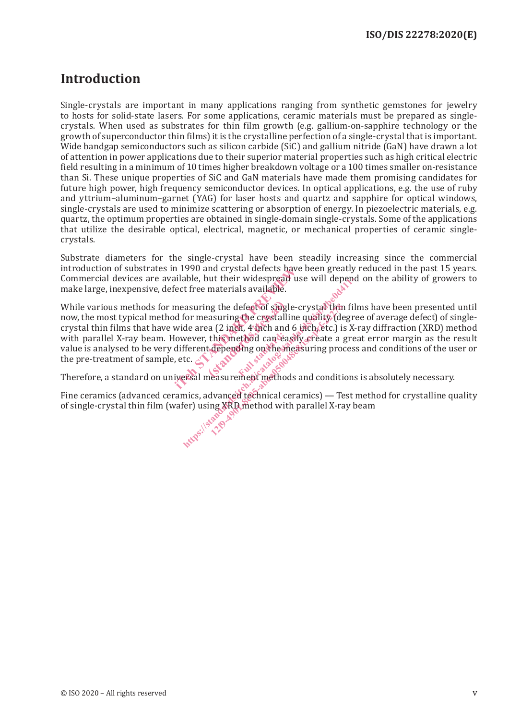## **Introduction**

Single-crystals are important in many applications ranging from synthetic gemstones for jewelry to hosts for solid-state lasers. For some applications, ceramic materials must be prepared as singlecrystals. When used as substrates for thin film growth (e.g. gallium-on-sapphire technology or the growth of superconductor thin films) it is the crystalline perfection of a single-crystal that is important. Wide bandgap semiconductors such as silicon carbide (SiC) and gallium nitride (GaN) have drawn a lot of attention in power applications due to their superior material properties such as high critical electric field resulting in a minimum of 10 times higher breakdown voltage or a 100 times smaller on-resistance than Si. These unique properties of SiC and GaN materials have made them promising candidates for future high power, high frequency semiconductor devices. In optical applications, e.g. the use of ruby and yttrium–aluminum–garnet (YAG) for laser hosts and quartz and sapphire for optical windows, single-crystals are used to minimize scattering or absorption of energy. In piezoelectric materials, e.g. quartz, the optimum properties are obtained in single-domain single-crystals. Some of the applications that utilize the desirable optical, electrical, magnetic, or mechanical properties of ceramic singlecrystals.

Substrate diameters for the single-crystal have been steadily increasing since the commercial introduction of substrates in 1990 and crystal defects have been greatly reduced in the past 15 years. Commercial devices are available, but their widespread use will depend on the ability of growers to make large, inexpensive, defect free materials available.

While various methods for measuring the defect of single-crystal thin films have been presented until now, the most typical method for measuring the crystalline quality (degree of average defect) of singlecrystal thin films that have wide area (2 inch, 4 inch and 6 inch, etc.) is X-ray diffraction (XRD) method with parallel X-ray beam. However, this method can easily create a great error margin as the result value is analysed to be very different depending on the measuring process and conditions of the user or the pre-treatment of sample, etc. in 1990 and crystal defects have be<br>ailable, but their widespread use v<br>fect free materials available.<br>measuring the defect of single-crys<br>d for measuring the crystalline quality<br>wide area (2 inch, 4 inch and 6 inch<br>loweve mg the defector single<br>
reasuring the crystalli<br>
ca (2 inch, 4 inch and<br>
this method can easy<br>
t depending on the measurement method https://standards.iteh.ai/catalogue.org/standards.ited.com<br>https://standards.ited.com<br>assuring the defect of single-crystal thin film<br>for measuring the crystalline quality (degre<br>de area (2 inch, 4 inch and 6 inch, étc.) i g the defect of single-crystal this<br>asuring the crystalline quality (da (2 inch, 4 inch and 6 inch, étc.) is<br>this method can éasily of eate a<br>depending on the measuring pro<br>easurement methods and condition<br>assurement metho

Therefore, a standard on universal measurement methods and conditions is absolutely necessary.

Fine ceramics (advanced ceramics, advanced technical ceramics) — Test method for crystalline quality of single-crystal thin film (wafer) using  $XRQ$  method with parallel X-ray beam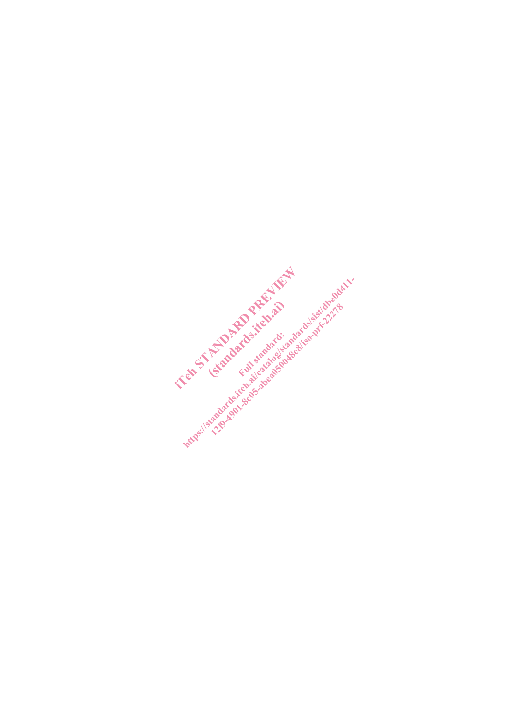Internal disposition of the state of the control of the state of the AMERICAN STATES of the Contractor of the Contractor of the AMERICAN STATES of the Contractor of the Contractor of the Contractor of the Contractor of the Tich of Amazon President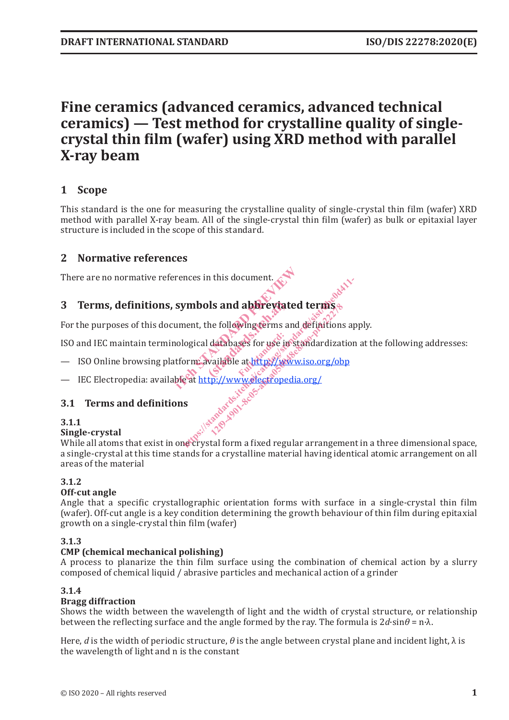# **Fine ceramics (advanced ceramics, advanced technical ceramics) — Test method for crystalline quality of singlecrystal thin film (wafer) using XRD method with parallel X-ray beam**

#### **1 Scope**

This standard is the one for measuring the crystalline quality of single-crystal thin film (wafer) XRD method with parallel X-ray beam. All of the single-crystal thin film (wafer) as bulk or epitaxial layer structure is included in the scope of this standard.

#### **2 Normative references**

There are no normative references in this document.

# **3 Terms, definitions, symbols and abbreviated terms** symbols and abbreviated te<br>symbols and abbreviated te<br>ument, the following terms and def<br>nological databases for use in stand<br>trorm: available at http://www.so<br>ble at http://www.electropedia.org Is and abbreviat wmbols and abbreviated terms, and the finitions approximated terms and definitions approximated databases for use in standardization orm: available at http://www.electropedia.org/obpeat http://www.electropedia.org/<br>eat htt

For the purposes of this document, the following terms and definitions apply.

ISO and IEC maintain terminological databases for use in standardization at the following addresses:

- ISO Online browsing platform: available at <u>http://www.iso.org/obp</u> Is and abbreviated terms.<br>
le following terms and definition.<br>
databases for use in standardizat<br>
vailable at http://www.iso.org/ob<br>
p://www.electropedia.org/<br>
p://www.electropedia.org/
- IEC Electropedia: available at http://www.electropedia.org/

#### **3.1 Terms and definitions**

#### **3.1.1**

#### **Single-crystal**

While all atoms that exist in one crystal form a fixed regular arrangement in a three dimensional space, a single-crystal at this time stands for a crystalline material having identical atomic arrangement on all areas of the material

#### **3.1.2**

#### **Off-cut angle**

Angle that a specific crystallographic orientation forms with surface in a single-crystal thin film (wafer). Off-cut angle is a key condition determining the growth behaviour of thin film during epitaxial growth on a single-crystal thin film (wafer)

#### **3.1.3**

#### **CMP (chemical mechanical polishing)**

A process to planarize the thin film surface using the combination of chemical action by a slurry composed of chemical liquid / abrasive particles and mechanical action of a grinder

#### **3.1.4**

#### **Bragg diffraction**

Shows the width between the wavelength of light and the width of crystal structure, or relationship between the reflecting surface and the angle formed by the ray. The formula is  $2d \cdot \sin\theta = n \cdot \lambda$ .

Here, *d* is the width of periodic structure, *θ* is the angle between crystal plane and incident light, λ is the wavelength of light and n is the constant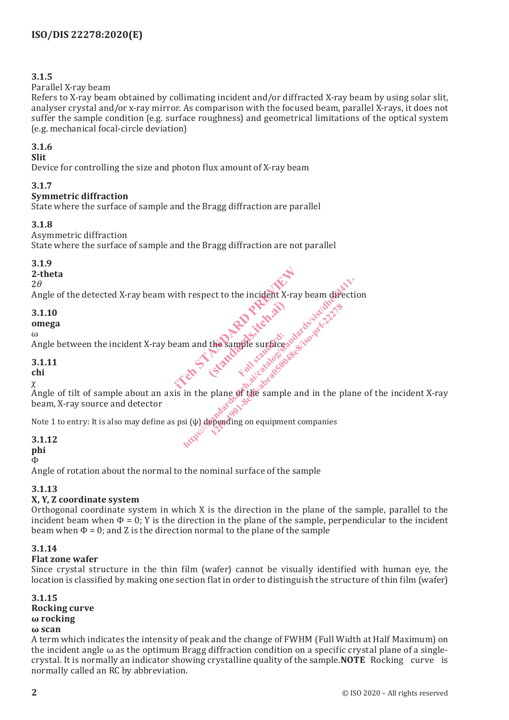#### **3.1.5**

Parallel X-ray beam

Refers to X-ray beam obtained by collimating incident and/or diffracted X-ray beam by using solar slit, analyser crystal and/or x-ray mirror. As comparison with the focused beam, parallel X-rays, it does not suffer the sample condition (e.g. surface roughness) and geometrical limitations of the optical system (e.g. mechanical focal-circle deviation)

#### **3.1.6**

#### **Slit**

Device for controlling the size and photon flux amount of X-ray beam

#### **3.1.7**

#### **Symmetric diffraction**

State where the surface of sample and the Bragg diffraction are parallel

#### **3.1.8**

Asymmetric diffraction

State where the surface of sample and the Bragg diffraction are not parallel

#### **3.1.9**

#### **2-theta**

2*θ*

Angle of the detected X-ray beam with respect to the incident X-ray beam direction ith respect to the incident X-ray be<br>eam and the Sample surfaces about the

#### **3.1.10**

#### **omega**

ω

Angle between the incident X-ray beam and the sample surface (standards.iteh.as)

#### **3.1.11**

**chi**

χ Angle of tilt of sample about an axis in the plane of the sample and in the plane of the incident X-ray beam, X-ray source and detector h respect to the incident X-ray beam divection<br>and the sample surfaces to a piece of  $\chi^2$ <br>m and the sample surfaces to a piece of  $\chi^2$ <br>m and the sample surfaces to a piece of  $\chi^2$ <br>is (4) depending on equipment compan the Sample surfaces de liso-principale

Note 1 to entry: It is also may define as psi (ψ) depending on equipment companies

#### **3.1.12 phi**

Φ

Angle of rotation about the normal to the nominal surface of the sample

#### **3.1.13**

#### **X, Y, Z coordinate system**

Orthogonal coordinate system in which X is the direction in the plane of the sample, parallel to the incident beam when  $\Phi = 0$ ; Y is the direction in the plane of the sample, perpendicular to the incident beam when  $\Phi = 0$ ; and Z is the direction normal to the plane of the sample

#### **3.1.14**

#### **Flat zone wafer**

Since crystal structure in the thin film (wafer) cannot be visually identified with human eye, the location is classified by making one section flat in order to distinguish the structure of thin film (wafer)

#### **3.1.15**

**Rocking curve ω rocking**

#### **ω scan**

A term which indicates the intensity of peak and the change of FWHM (Full Width at Half Maximum) on the incident angle  $\omega$  as the optimum Bragg diffraction condition on a specific crystal plane of a singlecrystal. It is normally an indicator showing crystalline quality of the sample.**NOTE** Rocking curve is normally called an RC by abbreviation.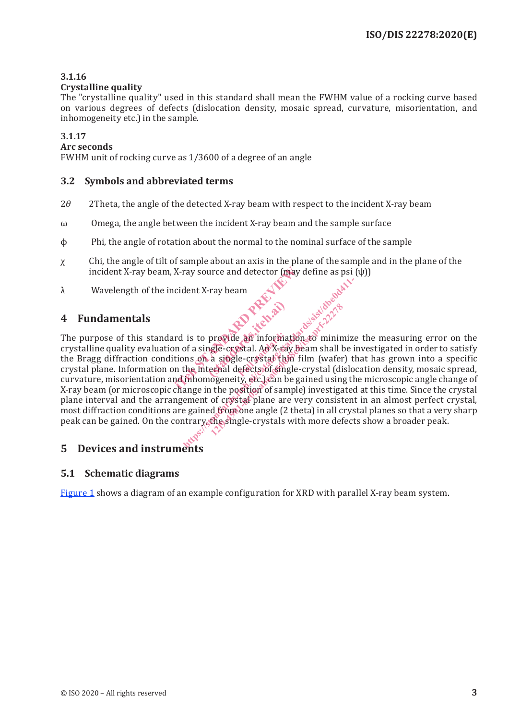#### **3.1.16**

#### **Crystalline quality**

The "crystalline quality" used in this standard shall mean the FWHM value of a rocking curve based on various degrees of defects (dislocation density, mosaic spread, curvature, misorientation, and inhomogeneity etc.) in the sample.

#### **3.1.17**

**Arc seconds**

FWHM unit of rocking curve as 1/3600 of a degree of an angle

#### **3.2 Symbols and abbreviated terms**

- 2*θ* 2Theta, the angle of the detected X-ray beam with respect to the incident X-ray beam
- $ω$  Omega, the angle between the incident X-ray beam and the sample surface
- ϕ Phi, the angle of rotation about the normal to the nominal surface of the sample
- χ Chi, the angle of tilt of sample about an axis in the plane of the sample and in the plane of the incident X-ray beam, X-ray source and detector  $(m)$  define as psi  $(\psi)$ )
- λ Wavelength of the incident X-ray beam

#### **4 Fundamentals**

The purpose of this standard is to provide  $\hat{a}$  information to minimize the measuring error on the crystalline quality evaluation of a single-crystal. An X-ray beam shall be investigated in order to satisfy the Bragg diffraction conditions on a single-crystal thin film (wafer) that has grown into a specific crystal plane. Information on the internal defects of single-crystal (dislocation density, mosaic spread, curvature, misorientation and inhomogeneity, etc.) can be gained using the microscopic angle change of X-ray beam (or microscopic change in the position of sample) investigated at this time. Since the crystal plane interval and the arrangement of crystal plane are very consistent in an almost perfect crystal, most diffraction conditions are gained from one angle (2 theta) in all crystal planes so that a very sharp peak can be gained. On the contrary, the single-crystals with more defects show a broader peak. X-ray source and detector (may def<br>
cident X-ray beam<br>
cident X-ray beam<br>
rd is to provide an information to<br>
in of a single-crystal. An X-ray beam<br>
tions on a single-crystal thin film<br>
in the internal defects of single-cr provide an information of the state of the state of the state of the state of the state of the state of the state of the state of the state of the state of the state of the state of the state of the state of the state of t dent X-ray beam<br>
dent X-ray beam<br>
and the properties are information to minimize<br>
of a single-crystal. An X-ray beam shall be in<br>
ons on a single-crystal thin film (wafer) the<br>
the internal defects of single-crystal (dislo abead of the constant of the position of the position of the position of the position of the position of sample) investigate of crystal plane are very consisted from one angle (2 theta) in all comparison of sample) invest

#### **5 Devices and instruments**

#### **5.1 Schematic diagrams**

Figure 1 shows a diagram of an example configuration for XRD with parallel X-ray beam system.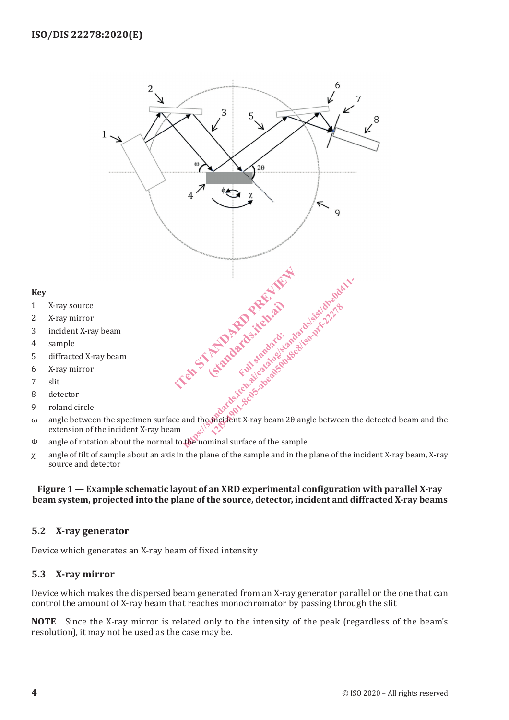

8 detector

4 sample

7 slit

**Key**

- 9 roland circle ω angle between the specimen surface and the mcident X-ray beam 2θ angle between the detected beam and the
- Φ angle of rotation about the normal to the nominal surface of the sample
- χ angle of tilt of sample about an axis in the plane of the sample and in the plane of the incident X-ray beam, X-ray source and detector

#### **Figure 1 — Example schematic layout of an XRD experimental configuration with parallel X-ray beam system, projected into the plane of the source, detector, incident and diffracted X-ray beams**

#### **5.2 X-ray generator**

Device which generates an X-ray beam of fixed intensity

#### **5.3 X-ray mirror**

Device which makes the dispersed beam generated from an X-ray generator parallel or the one that can control the amount of X-ray beam that reaches monochromator by passing through the slit

**NOTE** Since the X-ray mirror is related only to the intensity of the peak (regardless of the beam's resolution), it may not be used as the case may be.